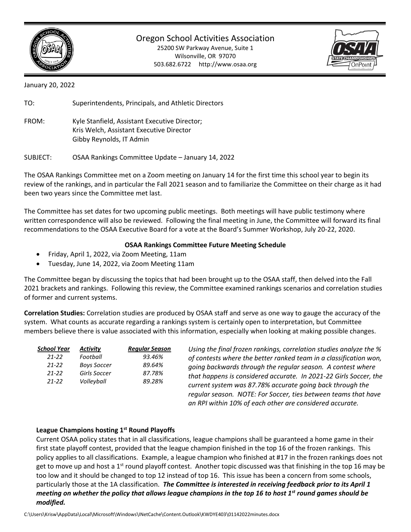

Oregon School Activities Association

25200 SW Parkway Avenue, Suite 1 Wilsonville, OR 97070 503.682.6722 http://www.osaa.org



January 20, 2022

TO: Superintendents, Principals, and Athletic Directors

FROM: Kyle Stanfield, Assistant Executive Director; Kris Welch, Assistant Executive Director Gibby Reynolds, IT Admin

SUBJECT: OSAA Rankings Committee Update – January 14, 2022

The OSAA Rankings Committee met on a Zoom meeting on January 14 for the first time this school year to begin its review of the rankings, and in particular the Fall 2021 season and to familiarize the Committee on their charge as it had been two years since the Committee met last.

The Committee has set dates for two upcoming public meetings. Both meetings will have public testimony where written correspondence will also be reviewed. Following the final meeting in June, the Committee will forward its final recommendations to the OSAA Executive Board for a vote at the Board's Summer Workshop, July 20-22, 2020.

## **OSAA Rankings Committee Future Meeting Schedule**

- Friday, April 1, 2022, via Zoom Meeting, 11am
- Tuesday, June 14, 2022, via Zoom Meeting 11am

The Committee began by discussing the topics that had been brought up to the OSAA staff, then delved into the Fall 2021 brackets and rankings. Following this review, the Committee examined rankings scenarios and correlation studies of former and current systems.

**Correlation Studies:** Correlation studies are produced by OSAA staff and serve as one way to gauge the accuracy of the system. What counts as accurate regarding a rankings system is certainly open to interpretation, but Committee members believe there is value associated with this information, especially when looking at making possible changes.

| School Year                         | <b>Activity</b>                                | <b>Regular Season</b>      | Using the final frozen rankings, correlation studies analyze the %                                                                                                                                                                                                                                                                                                                               |
|-------------------------------------|------------------------------------------------|----------------------------|--------------------------------------------------------------------------------------------------------------------------------------------------------------------------------------------------------------------------------------------------------------------------------------------------------------------------------------------------------------------------------------------------|
| $21 - 22$<br>$21 - 22$<br>$21 - 22$ | Football<br><b>Boys Soccer</b><br>Girls Soccer | 93.46%<br>89.64%<br>87.78% | of contests where the better ranked team in a classification won,<br>going backwards through the regular season. A contest where<br>that happens is considered accurate. In 2021-22 Girls Soccer, the<br>current system was 87.78% accurate going back through the<br>regular season. NOTE: For Soccer, ties between teams that have<br>an RPI within 10% of each other are considered accurate. |
| $21 - 22$                           | Volleyball                                     | 89.28%                     |                                                                                                                                                                                                                                                                                                                                                                                                  |

## **League Champions hosting 1st Round Playoffs**

Current OSAA policy states that in all classifications, league champions shall be guaranteed a home game in their first state playoff contest, provided that the league champion finished in the top 16 of the frozen rankings. This policy applies to all classifications. Example, a league champion who finished at #17 in the frozen rankings does not get to move up and host a 1<sup>st</sup> round playoff contest. Another topic discussed was that finishing in the top 16 may be too low and it should be changed to top 12 instead of top 16. This issue has been a concern from some schools, particularly those at the 1A classification. *The Committee is interested in receiving feedback prior to its April 1 meeting on whether the policy that allows league champions in the top 16 to host 1st round games should be modified.*